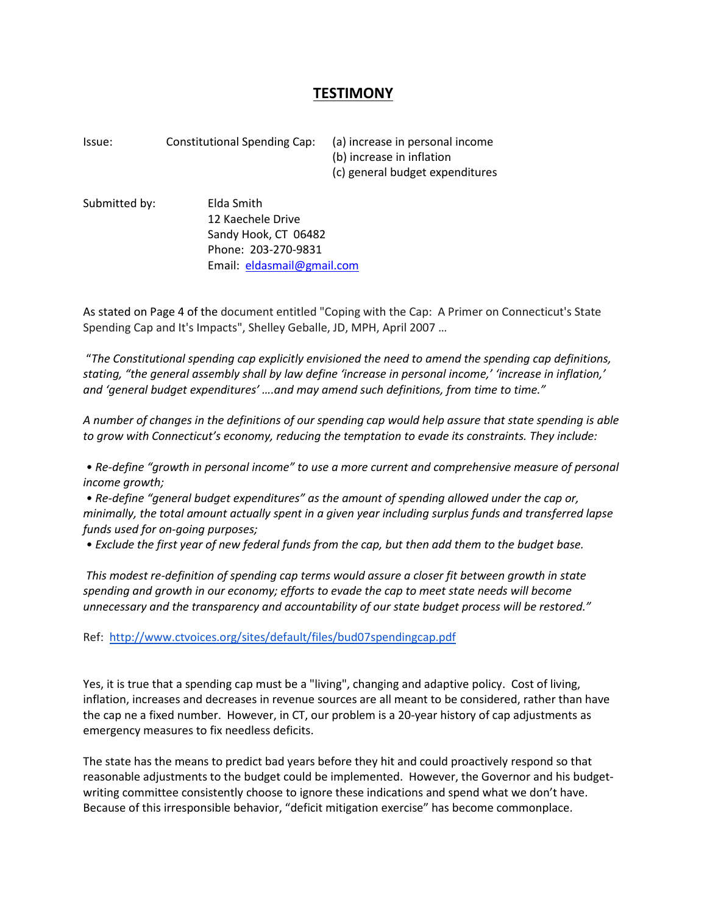## **TESTIMONY**

Issue: Constitutional Spending Cap: (a) increase in personal income (b) increase in inflation (c) general budget expenditures

Submitted by: Elda Smith 12 Kaechele Drive Sandy Hook, CT 06482 Phone: 203-270-9831 Email: [eldasmail@gmail.com](mailto:eldasmail@gmail.com)

As stated on Page 4 of the document entitled "Coping with the Cap: A Primer on Connecticut's State Spending Cap and It's Impacts", Shelley Geballe, JD, MPH, April 2007 …

"*The Constitutional spending cap explicitly envisioned the need to amend the spending cap definitions, stating, "the general assembly shall by law define 'increase in personal income,' 'increase in inflation,' and 'general budget expenditures' ….and may amend such definitions, from time to time."*

*A number of changes in the definitions of our spending cap would help assure that state spending is able to grow with Connecticut's economy, reducing the temptation to evade its constraints. They include:*

*• Re-define "growth in personal income" to use a more current and comprehensive measure of personal income growth;*

*• Re-define "general budget expenditures" as the amount of spending allowed under the cap or, minimally, the total amount actually spent in a given year including surplus funds and transferred lapse funds used for on-going purposes;*

*• Exclude the first year of new federal funds from the cap, but then add them to the budget base.*

*This modest re-definition of spending cap terms would assure a closer fit between growth in state spending and growth in our economy; efforts to evade the cap to meet state needs will become unnecessary and the transparency and accountability of our state budget process will be restored."*

Ref:<http://www.ctvoices.org/sites/default/files/bud07spendingcap.pdf>

Yes, it is true that a spending cap must be a "living", changing and adaptive policy. Cost of living, inflation, increases and decreases in revenue sources are all meant to be considered, rather than have the cap ne a fixed number. However, in CT, our problem is a 20-year history of cap adjustments as emergency measures to fix needless deficits.

The state has the means to predict bad years before they hit and could proactively respond so that reasonable adjustments to the budget could be implemented. However, the Governor and his budgetwriting committee consistently choose to ignore these indications and spend what we don't have. Because of this irresponsible behavior, "deficit mitigation exercise" has become commonplace.